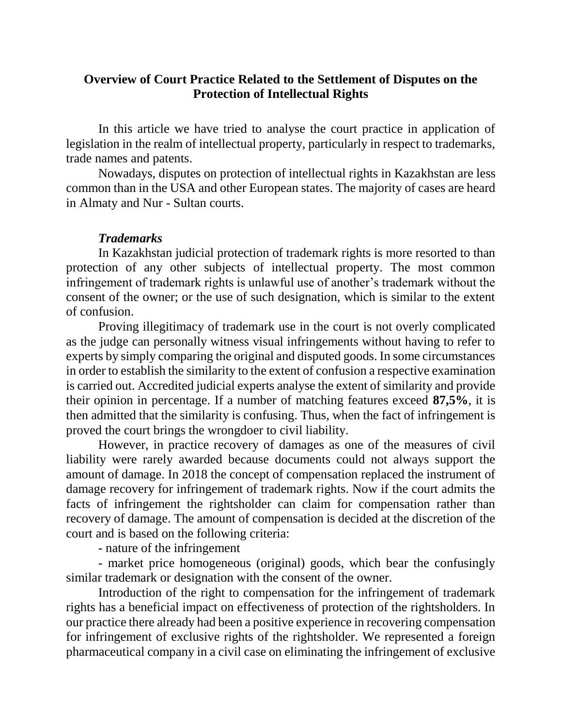### **Overview of Court Practice Related to the Settlement of Disputes on the Protection of Intellectual Rights**

In this article we have tried to analyse the court practice in application of legislation in the realm of intellectual property, particularly in respect to trademarks, trade names and patents.

Nowadays, disputes on protection of intellectual rights in Kazakhstan are less common than in the USA and other European states. The majority of cases are heard in Almaty and Nur - Sultan courts.

### *Trademarks*

In Kazakhstan judicial protection of trademark rights is more resorted to than protection of any other subjects of intellectual property. The most common infringement of trademark rights is unlawful use of another's trademark without the consent of the owner; or the use of such designation, which is similar to the extent of confusion.

Proving illegitimacy of trademark use in the court is not overly complicated as the judge can personally witness visual infringements without having to refer to experts by simply comparing the original and disputed goods. In some circumstances in order to establish the similarity to the extent of confusion a respective examination is carried out. Accredited judicial experts analyse the extent of similarity and provide their opinion in percentage. If a number of matching features exceed **87,5%**, it is then admitted that the similarity is confusing. Thus, when the fact of infringement is proved the court brings the wrongdoer to civil liability.

However, in practice recovery of damages as one of the measures of civil liability were rarely awarded because documents could not always support the amount of damage. In 2018 the concept of compensation replaced the instrument of damage recovery for infringement of trademark rights. Now if the court admits the facts of infringement the rightsholder can claim for compensation rather than recovery of damage. The amount of compensation is decided at the discretion of the court and is based on the following criteria:

- nature of the infringement

- market price homogeneous (original) goods, which bear the confusingly similar trademark or designation with the consent of the owner.

Introduction of the right to compensation for the infringement of trademark rights has a beneficial impact on effectiveness of protection of the rightsholders. In our practice there already had been a positive experience in recovering compensation for infringement of exclusive rights of the rightsholder. We represented a foreign pharmaceutical company in a civil case on eliminating the infringement of exclusive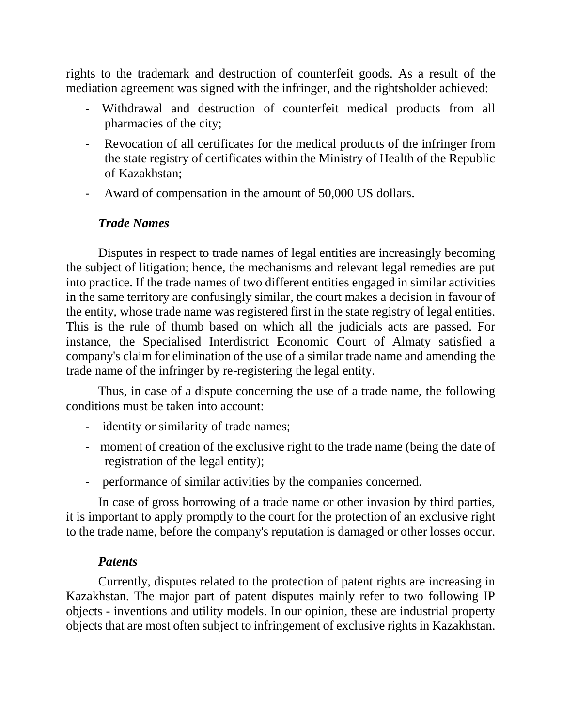rights to the trademark and destruction of counterfeit goods. As a result of the mediation agreement was signed with the infringer, and the rightsholder achieved:

- Withdrawal and destruction of counterfeit medical products from all pharmacies of the city;
- Revocation of all certificates for the medical products of the infringer from the state registry of certificates within the Ministry of Health of the Republic of Kazakhstan;
- Award of compensation in the amount of 50,000 US dollars.

# *Trade Names*

Disputes in respect to trade names of legal entities are increasingly becoming the subject of litigation; hence, the mechanisms and relevant legal remedies are put into practice. If the trade names of two different entities engaged in similar activities in the same territory are confusingly similar, the court makes a decision in favour of the entity, whose trade name was registered first in the state registry of legal entities. This is the rule of thumb based on which all the judicials acts are passed. For instance, the Specialised Interdistrict Economic Court of Almaty satisfied a company's claim for elimination of the use of a similar trade name and amending the trade name of the infringer by re-registering the legal entity.

Thus, in case of a dispute concerning the use of a trade name, the following conditions must be taken into account:

- identity or similarity of trade names;
- moment of creation of the exclusive right to the trade name (being the date of registration of the legal entity);
- performance of similar activities by the companies concerned.

In case of gross borrowing of a trade name or other invasion by third parties, it is important to apply promptly to the court for the protection of an exclusive right to the trade name, before the company's reputation is damaged or other losses occur.

### *Patents*

Currently, disputes related to the protection of patent rights are increasing in Kazakhstan. The major part of patent disputes mainly refer to two following IP objects - inventions and utility models. In our opinion, these are industrial property objects that are most often subject to infringement of exclusive rights in Kazakhstan.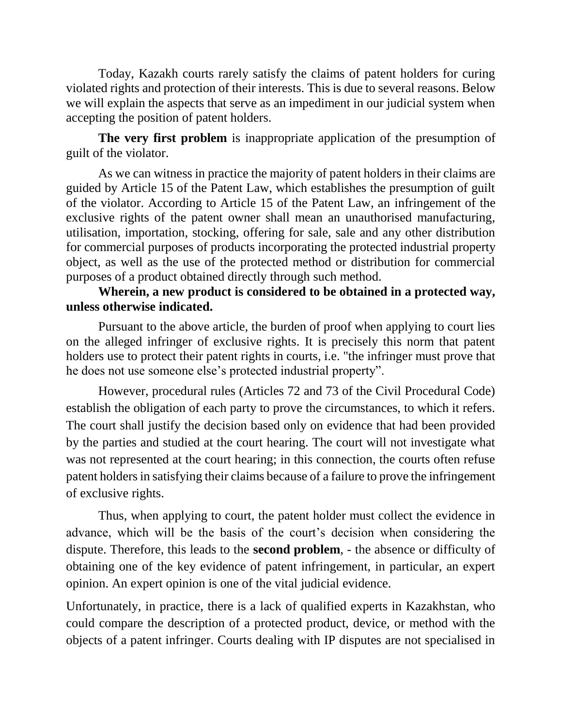Today, Kazakh courts rarely satisfy the claims of patent holders for curing violated rights and protection of their interests. This is due to several reasons. Below we will explain the aspects that serve as an impediment in our judicial system when accepting the position of patent holders.

**The very first problem** is inappropriate application of the presumption of guilt of the violator.

As we can witness in practice the majority of patent holders in their claims are guided by Article 15 of the Patent Law, which establishes the presumption of guilt of the violator. According to Article 15 of the Patent Law, an infringement of the exclusive rights of the patent owner shall mean an unauthorised manufacturing, utilisation, importation, stocking, offering for sale, sale and any other distribution for commercial purposes of products incorporating the protected industrial property object, as well as the use of the protected method or distribution for commercial purposes of a product obtained directly through such method.

## **Wherein, a new product is considered to be obtained in a protected way, unless otherwise indicated.**

Pursuant to the above article, the burden of proof when applying to court lies on the alleged infringer of exclusive rights. It is precisely this norm that patent holders use to protect their patent rights in courts, i.e. "the infringer must prove that he does not use someone else's protected industrial property".

However, procedural rules (Articles 72 and 73 of the Civil Procedural Code) establish the obligation of each party to prove the circumstances, to which it refers. The court shall justify the decision based only on evidence that had been provided by the parties and studied at the court hearing. The court will not investigate what was not represented at the court hearing; in this connection, the courts often refuse patent holders in satisfying their claims because of a failure to prove the infringement of exclusive rights.

Thus, when applying to court, the patent holder must collect the evidence in advance, which will be the basis of the court's decision when considering the dispute. Therefore, this leads to the **second problem**, - the absence or difficulty of obtaining one of the key evidence of patent infringement, in particular, an expert opinion. An expert opinion is one of the vital judicial evidence.

Unfortunately, in practice, there is a lack of qualified experts in Kazakhstan, who could compare the description of a protected product, device, or method with the objects of a patent infringer. Courts dealing with IP disputes are not specialised in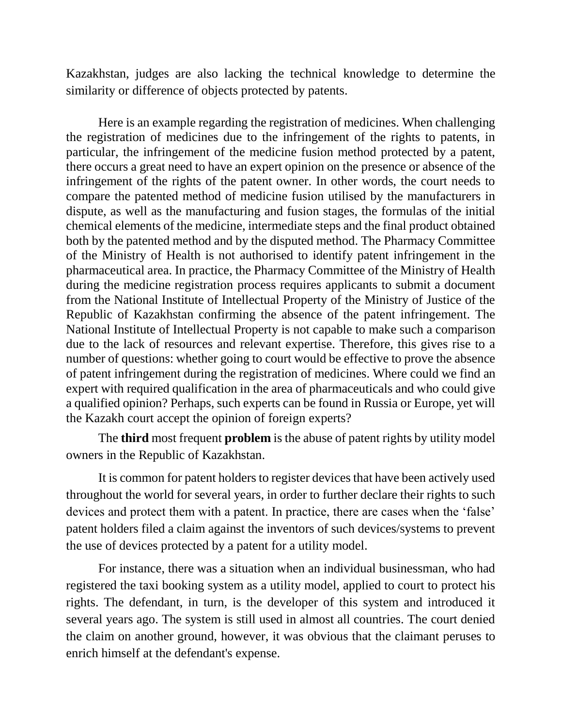Kazakhstan, judges are also lacking the technical knowledge to determine the similarity or difference of objects protected by patents.

Here is an example regarding the registration of medicines. When challenging the registration of medicines due to the infringement of the rights to patents, in particular, the infringement of the medicine fusion method protected by a patent, there occurs a great need to have an expert opinion on the presence or absence of the infringement of the rights of the patent owner. In other words, the court needs to compare the patented method of medicine fusion utilised by the manufacturers in dispute, as well as the manufacturing and fusion stages, the formulas of the initial chemical elements of the medicine, intermediate steps and the final product obtained both by the patented method and by the disputed method. The Pharmacy Committee of the Ministry of Health is not authorised to identify patent infringement in the pharmaceutical area. In practice, the Pharmacy Committee of the Ministry of Health during the medicine registration process requires applicants to submit a document from the National Institute of Intellectual Property of the Ministry of Justice of the Republic of Kazakhstan confirming the absence of the patent infringement. The National Institute of Intellectual Property is not capable to make such a comparison due to the lack of resources and relevant expertise. Therefore, this gives rise to a number of questions: whether going to court would be effective to prove the absence of patent infringement during the registration of medicines. Where could we find an expert with required qualification in the area of pharmaceuticals and who could give a qualified opinion? Perhaps, such experts can be found in Russia or Europe, yet will the Kazakh court accept the opinion of foreign experts?

The **third** most frequent **problem** is the abuse of patent rights by utility model owners in the Republic of Kazakhstan.

It is common for patent holders to register devices that have been actively used throughout the world for several years, in order to further declare their rights to such devices and protect them with a patent. In practice, there are cases when the 'false' patent holders filed a claim against the inventors of such devices/systems to prevent the use of devices protected by a patent for a utility model.

For instance, there was a situation when an individual businessman, who had registered the taxi booking system as a utility model, applied to court to protect his rights. The defendant, in turn, is the developer of this system and introduced it several years ago. The system is still used in almost all countries. The court denied the claim on another ground, however, it was obvious that the claimant peruses to enrich himself at the defendant's expense.